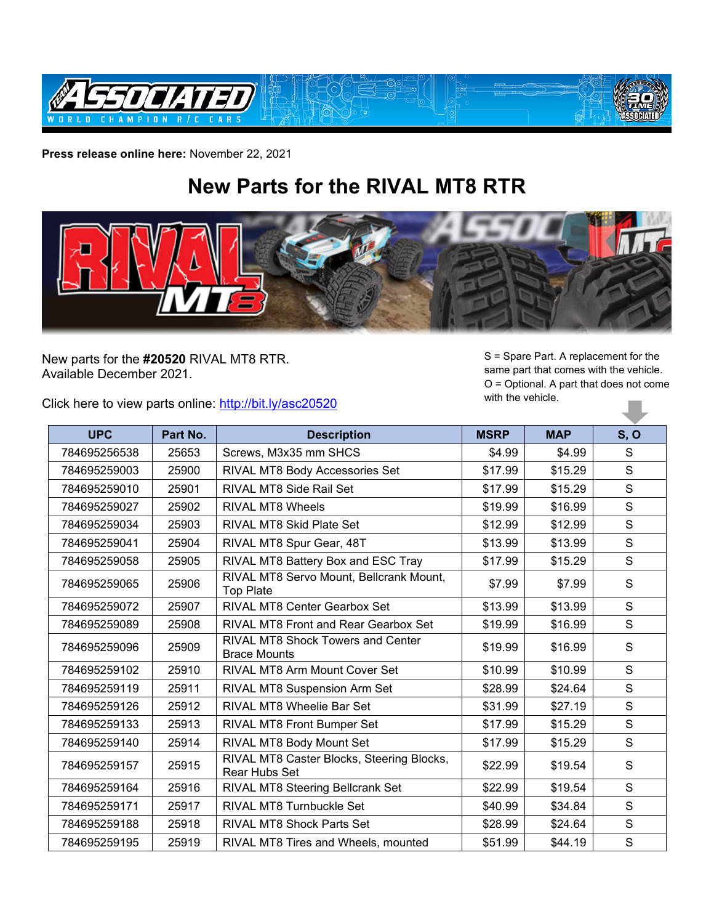

**Press release online here:** November 22, 2021

## **New Parts for the RIVAL MT8 RTR**



New parts for the **#20520** RIVAL MT8 RTR. Available December 2021.

Click here to view parts online:<http://bit.ly/asc20520>

S = Spare Part. A replacement for the same part that comes with the vehicle. O = Optional. A part that does not come with the vehicle. H.

| <b>UPC</b>   | Part No. | <b>Description</b>                                              | <b>MSRP</b> | <b>MAP</b> | S, O        |
|--------------|----------|-----------------------------------------------------------------|-------------|------------|-------------|
| 784695256538 | 25653    | Screws, M3x35 mm SHCS                                           | \$4.99      | \$4.99     | S           |
| 784695259003 | 25900    | RIVAL MT8 Body Accessories Set                                  | \$17.99     | \$15.29    | S           |
| 784695259010 | 25901    | <b>RIVAL MT8 Side Rail Set</b>                                  | \$17.99     | \$15.29    | S           |
| 784695259027 | 25902    | <b>RIVAL MT8 Wheels</b>                                         | \$19.99     | \$16.99    | S           |
| 784695259034 | 25903    | <b>RIVAL MT8 Skid Plate Set</b>                                 | \$12.99     | \$12.99    | S           |
| 784695259041 | 25904    | RIVAL MT8 Spur Gear, 48T                                        | \$13.99     | \$13.99    | $\mathbf S$ |
| 784695259058 | 25905    | RIVAL MT8 Battery Box and ESC Tray                              | \$17.99     | \$15.29    | S           |
| 784695259065 | 25906    | RIVAL MT8 Servo Mount, Bellcrank Mount,<br><b>Top Plate</b>     | \$7.99      | \$7.99     | S           |
| 784695259072 | 25907    | <b>RIVAL MT8 Center Gearbox Set</b>                             | \$13.99     | \$13.99    | S           |
| 784695259089 | 25908    | RIVAL MT8 Front and Rear Gearbox Set                            | \$19.99     | \$16.99    | S           |
| 784695259096 | 25909    | <b>RIVAL MT8 Shock Towers and Center</b><br><b>Brace Mounts</b> | \$19.99     | \$16.99    | S           |
| 784695259102 | 25910    | RIVAL MT8 Arm Mount Cover Set                                   | \$10.99     | \$10.99    | S           |
| 784695259119 | 25911    | RIVAL MT8 Suspension Arm Set                                    | \$28.99     | \$24.64    | S           |
| 784695259126 | 25912    | <b>RIVAL MT8 Wheelie Bar Set</b>                                | \$31.99     | \$27.19    | $\mathbf S$ |
| 784695259133 | 25913    | RIVAL MT8 Front Bumper Set                                      | \$17.99     | \$15.29    | S           |
| 784695259140 | 25914    | RIVAL MT8 Body Mount Set                                        | \$17.99     | \$15.29    | S           |
| 784695259157 | 25915    | RIVAL MT8 Caster Blocks, Steering Blocks,<br>Rear Hubs Set      | \$22.99     | \$19.54    | S           |
| 784695259164 | 25916    | RIVAL MT8 Steering Bellcrank Set                                | \$22.99     | \$19.54    | S           |
| 784695259171 | 25917    | <b>RIVAL MT8 Turnbuckle Set</b>                                 | \$40.99     | \$34.84    | S           |
| 784695259188 | 25918    | <b>RIVAL MT8 Shock Parts Set</b>                                | \$28.99     | \$24.64    | S           |
| 784695259195 | 25919    | RIVAL MT8 Tires and Wheels, mounted                             | \$51.99     | \$44.19    | $\mathbf S$ |